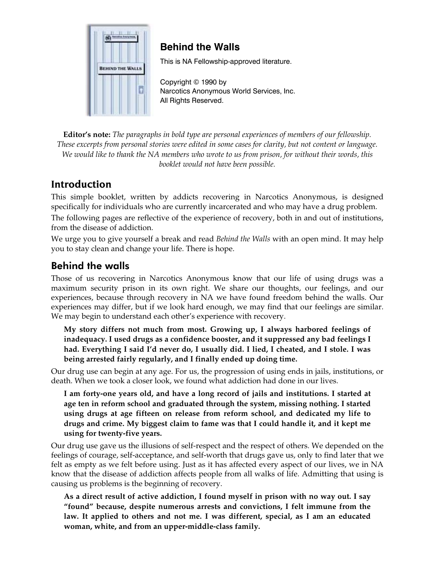

# **Behind the Walls**

This is NA Fellowship-approved literature.

Copyright © 1990 by Narcotics Anonymous World Services, Inc. All Rights Reserved.

**Editor's note:** *The paragraphs in bold type are personal experiences of members of our fellowship. These excerpts from personal stories were edited in some cases for clarity, but not content or language. We would like to thank the NA members who wrote to us from prison, for without their words, this booklet would not have been possible.*

# **Introduction**

This simple booklet, written by addicts recovering in Narcotics Anonymous, is designed specifically for individuals who are currently incarcerated and who may have a drug problem.

The following pages are reflective of the experience of recovery, both in and out of institutions, from the disease of addiction.

We urge you to give yourself a break and read *Behind the Walls* with an open mind. It may help you to stay clean and change your life. There is hope.

## Behind the walls

Those of us recovering in Narcotics Anonymous know that our life of using drugs was a maximum security prison in its own right. We share our thoughts, our feelings, and our experiences, because through recovery in NA we have found freedom behind the walls. Our experiences may differ, but if we look hard enough, we may find that our feelings are similar. We may begin to understand each other's experience with recovery.

**My story differs not much from most. Growing up, I always harbored feelings of inadequacy. I used drugs as a confidence booster, and it suppressed any bad feelings I had. Everything I said I'd never do, I usually did. I lied, I cheated, and I stole. I was being arrested fairly regularly, and I finally ended up doing time.** 

Our drug use can begin at any age. For us, the progression of using ends in jails, institutions, or death. When we took a closer look, we found what addiction had done in our lives.

**I am forty-one years old, and have a long record of jails and institutions. I started at age ten in reform school and graduated through the system, missing nothing. I started using drugs at age fifteen on release from reform school, and dedicated my life to drugs and crime. My biggest claim to fame was that I could handle it, and it kept me using for twenty-five years.** 

Our drug use gave us the illusions of self-respect and the respect of others. We depended on the feelings of courage, self-acceptance, and self-worth that drugs gave us, only to find later that we felt as empty as we felt before using. Just as it has affected every aspect of our lives, we in NA know that the disease of addiction affects people from all walks of life. Admitting that using is causing us problems is the beginning of recovery.

**As a direct result of active addiction, I found myself in prison with no way out. I say "found" because, despite numerous arrests and convictions, I felt immune from the law. It applied to others and not me. I was different, special, as I am an educated woman, white, and from an upper-middle-class family.**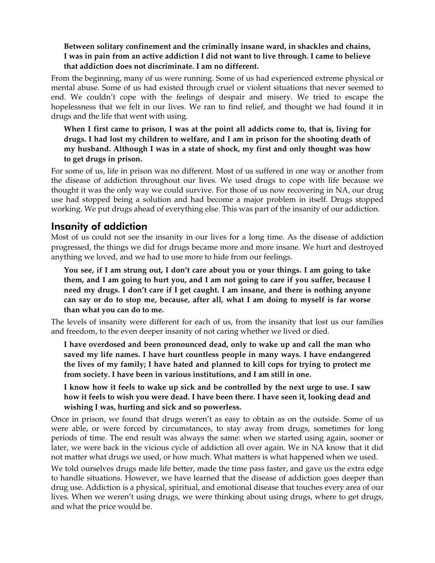#### **Between solitary confinement and the criminally insane ward, in shackles and chains, I was in pain from an active addiction I did not want to live through. I came to believe that addiction does not discriminate. I am no different.**

From the beginning, many of us were running. Some of us had experienced extreme physical or mental abuse. Some of us had existed through cruel or violent situations that never seemed to end. We couldn't cope with the feelings of despair and misery. We tried to escape the hopelessness that we felt in our lives. We ran to find relief, and thought we had found it in drugs and the life that went with using.

**When I first came to prison, I was at the point all addicts come to, that is, living for drugs. I had lost my children to welfare, and I am in prison for the shooting death of my husband. Although I was in a state of shock, my first and only thought was how to get drugs in prison.** 

For some of us, life in prison was no different. Most of us suffered in one way or another from the disease of addiction throughout our lives. We used drugs to cope with life because we thought it was the only way we could survive. For those of us now recovering in NA, our drug use had stopped being a solution and had become a major problem in itself. Drugs stopped working. We put drugs ahead of everything else. This was part of the insanity of our addiction.

## Insanity of addiction

Most of us could not see the insanity in our lives for a long time. As the disease of addiction progressed, the things we did for drugs became more and more insane. We hurt and destroyed anything we loved, and we had to use more to hide from our feelings.

**You see, if I am strung out, I don't care about you or your things. I am going to take them, and I am going to hurt you, and I am not going to care if you suffer, because I need my drugs. I don't care if I get caught. I am insane, and there is nothing anyone can say or do to stop me, because, after all, what I am doing to myself is far worse than what you can do to me.** 

The levels of insanity were different for each of us, from the insanity that lost us our families and freedom, to the even deeper insanity of not caring whether we lived or died.

**I have overdosed and been pronounced dead, only to wake up and call the man who saved my life names. I have hurt countless people in many ways. I have endangered the lives of my family; I have hated and planned to kill cops for trying to protect me from society. I have been in various institutions, and I am still in one.** 

**I know how it feels to wake up sick and be controlled by the next urge to use. I saw how it feels to wish you were dead. I have been there. I have seen it, looking dead and wishing I was, hurting and sick and so powerless.** 

Once in prison, we found that drugs weren't as easy to obtain as on the outside. Some of us were able, or were forced by circumstances, to stay away from drugs, sometimes for long periods of time. The end result was always the same: when we started using again, sooner or later, we were back in the vicious cycle of addiction all over again. We in NA know that it did not matter what drugs we used, or how much. What matters is what happened when we used.

We told ourselves drugs made life better, made the time pass faster, and gave us the extra edge to handle situations. However, we have learned that the disease of addiction goes deeper than drug use. Addiction is a physical, spiritual, and emotional disease that touches every area of our lives. When we weren't using drugs, we were thinking about using drugs, where to get drugs, and what the price would be.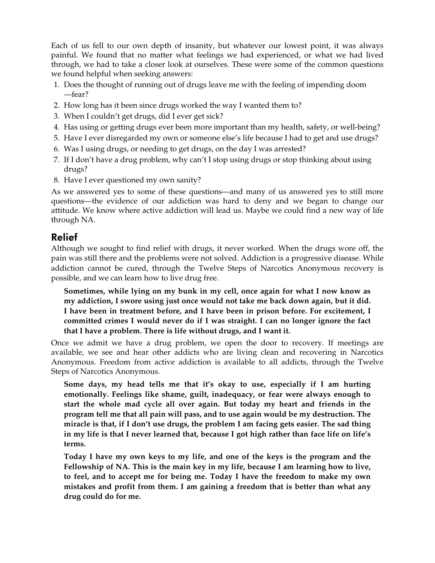Each of us fell to our own depth of insanity, but whatever our lowest point, it was always painful. We found that no matter what feelings we had experienced, or what we had lived through, we had to take a closer look at ourselves. These were some of the common questions we found helpful when seeking answers:

- 1. Does the thought of running out of drugs leave me with the feeling of impending doom —fear?
- 2. How long has it been since drugs worked the way I wanted them to?
- 3. When I couldn't get drugs, did I ever get sick?
- 4. Has using or getting drugs ever been more important than my health, safety, or well-being?
- 5. Have I ever disregarded my own or someone else's life because I had to get and use drugs?
- 6. Was I using drugs, or needing to get drugs, on the day I was arrested?
- 7. If I don't have a drug problem, why can't I stop using drugs or stop thinking about using drugs?
- 8. Have I ever questioned my own sanity?

As we answered yes to some of these questions—and many of us answered yes to still more questions—the evidence of our addiction was hard to deny and we began to change our attitude. We know where active addiction will lead us. Maybe we could find a new way of life through NA.

## Relief

Although we sought to find relief with drugs, it never worked. When the drugs wore off, the pain was still there and the problems were not solved. Addiction is a progressive disease. While addiction cannot be cured, through the Twelve Steps of Narcotics Anonymous recovery is possible, and we can learn how to live drug free.

**Sometimes, while lying on my bunk in my cell, once again for what I now know as my addiction, I swore using just once would not take me back down again, but it did. I have been in treatment before, and I have been in prison before. For excitement, I committed crimes I would never do if I was straight. I can no longer ignore the fact that I have a problem. There is life without drugs, and I want it.** 

Once we admit we have a drug problem, we open the door to recovery. If meetings are available, we see and hear other addicts who are living clean and recovering in Narcotics Anonymous. Freedom from active addiction is available to all addicts, through the Twelve Steps of Narcotics Anonymous.

**Some days, my head tells me that it's okay to use, especially if I am hurting emotionally. Feelings like shame, guilt, inadequacy, or fear were always enough to start the whole mad cycle all over again. But today my heart and friends in the program tell me that all pain will pass, and to use again would be my destruction. The miracle is that, if I don't use drugs, the problem I am facing gets easier. The sad thing in my life is that I never learned that, because I got high rather than face life on life's terms.** 

**Today I have my own keys to my life, and one of the keys is the program and the Fellowship of NA. This is the main key in my life, because I am learning how to live, to feel, and to accept me for being me. Today I have the freedom to make my own mistakes and profit from them. I am gaining a freedom that is better than what any drug could do for me.**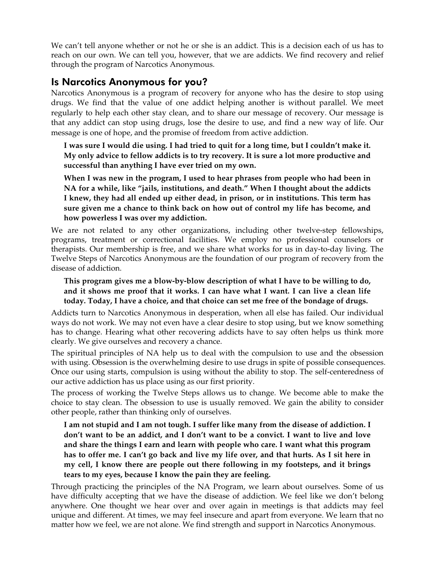We can't tell anyone whether or not he or she is an addict. This is a decision each of us has to reach on our own. We can tell you, however, that we are addicts. We find recovery and relief through the program of Narcotics Anonymous.

## Is Narcotics Anonymous for you?

Narcotics Anonymous is a program of recovery for anyone who has the desire to stop using drugs. We find that the value of one addict helping another is without parallel. We meet regularly to help each other stay clean, and to share our message of recovery. Our message is that any addict can stop using drugs, lose the desire to use, and find a new way of life. Our message is one of hope, and the promise of freedom from active addiction.

**I was sure I would die using. I had tried to quit for a long time, but I couldn't make it. My only advice to fellow addicts is to try recovery. It is sure a lot more productive and successful than anything I have ever tried on my own.** 

**When I was new in the program, I used to hear phrases from people who had been in NA for a while, like "jails, institutions, and death." When I thought about the addicts I knew, they had all ended up either dead, in prison, or in institutions. This term has sure given me a chance to think back on how out of control my life has become, and how powerless I was over my addiction.** 

We are not related to any other organizations, including other twelve-step fellowships, programs, treatment or correctional facilities. We employ no professional counselors or therapists. Our membership is free, and we share what works for us in day-to-day living. The Twelve Steps of Narcotics Anonymous are the foundation of our program of recovery from the disease of addiction.

#### **This program gives me a blow-by-blow description of what I have to be willing to do, and it shows me proof that it works. I can have what I want. I can live a clean life today. Today, I have a choice, and that choice can set me free of the bondage of drugs.**

Addicts turn to Narcotics Anonymous in desperation, when all else has failed. Our individual ways do not work. We may not even have a clear desire to stop using, but we know something has to change. Hearing what other recovering addicts have to say often helps us think more clearly. We give ourselves and recovery a chance.

The spiritual principles of NA help us to deal with the compulsion to use and the obsession with using. Obsession is the overwhelming desire to use drugs in spite of possible consequences. Once our using starts, compulsion is using without the ability to stop. The self-centeredness of our active addiction has us place using as our first priority.

The process of working the Twelve Steps allows us to change. We become able to make the choice to stay clean. The obsession to use is usually removed. We gain the ability to consider other people, rather than thinking only of ourselves.

**I am not stupid and I am not tough. I suffer like many from the disease of addiction. I don't want to be an addict, and I don't want to be a convict. I want to live and love and share the things I earn and learn with people who care. I want what this program has to offer me. I can't go back and live my life over, and that hurts. As I sit here in my cell, I know there are people out there following in my footsteps, and it brings tears to my eyes, because I know the pain they are feeling.** 

Through practicing the principles of the NA Program, we learn about ourselves. Some of us have difficulty accepting that we have the disease of addiction. We feel like we don't belong anywhere. One thought we hear over and over again in meetings is that addicts may feel unique and different. At times, we may feel insecure and apart from everyone. We learn that no matter how we feel, we are not alone. We find strength and support in Narcotics Anonymous.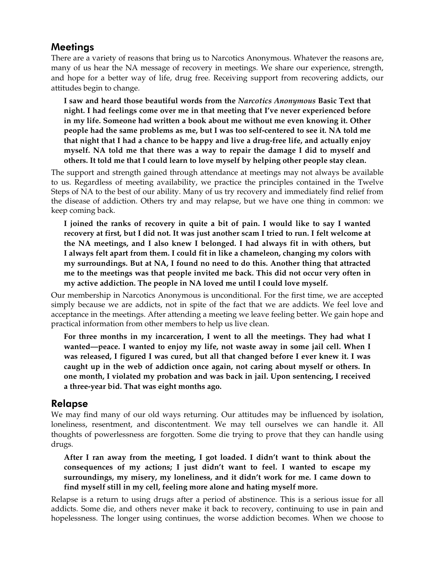## Meetings

There are a variety of reasons that bring us to Narcotics Anonymous. Whatever the reasons are, many of us hear the NA message of recovery in meetings. We share our experience, strength, and hope for a better way of life, drug free. Receiving support from recovering addicts, our attitudes begin to change.

**I saw and heard those beautiful words from the** *Narcotics Anonymous* **Basic Text that night. I had feelings come over me in that meeting that I've never experienced before in my life. Someone had written a book about me without me even knowing it. Other people had the same problems as me, but I was too self-centered to see it. NA told me that night that I had a chance to be happy and live a drug-free life, and actually enjoy myself. NA told me that there was a way to repair the damage I did to myself and others. It told me that I could learn to love myself by helping other people stay clean.** 

The support and strength gained through attendance at meetings may not always be available to us. Regardless of meeting availability, we practice the principles contained in the Twelve Steps of NA to the best of our ability. Many of us try recovery and immediately find relief from the disease of addiction. Others try and may relapse, but we have one thing in common: we keep coming back.

**I joined the ranks of recovery in quite a bit of pain. I would like to say I wanted recovery at first, but I did not. It was just another scam I tried to run. I felt welcome at the NA meetings, and I also knew I belonged. I had always fit in with others, but I always felt apart from them. I could fit in like a chameleon, changing my colors with my surroundings. But at NA, I found no need to do this. Another thing that attracted me to the meetings was that people invited me back. This did not occur very often in my active addiction. The people in NA loved me until I could love myself.** 

Our membership in Narcotics Anonymous is unconditional. For the first time, we are accepted simply because we are addicts, not in spite of the fact that we are addicts. We feel love and acceptance in the meetings. After attending a meeting we leave feeling better. We gain hope and practical information from other members to help us live clean.

**For three months in my incarceration, I went to all the meetings. They had what I wanted—peace. I wanted to enjoy my life, not waste away in some jail cell. When I was released, I figured I was cured, but all that changed before I ever knew it. I was caught up in the web of addiction once again, not caring about myself or others. In one month, I violated my probation and was back in jail. Upon sentencing, I received a three-year bid. That was eight months ago.** 

## Relapse

We may find many of our old ways returning. Our attitudes may be influenced by isolation, loneliness, resentment, and discontentment. We may tell ourselves we can handle it. All thoughts of powerlessness are forgotten. Some die trying to prove that they can handle using drugs.

**After I ran away from the meeting, I got loaded. I didn't want to think about the consequences of my actions; I just didn't want to feel. I wanted to escape my surroundings, my misery, my loneliness, and it didn't work for me. I came down to find myself still in my cell, feeling more alone and hating myself more.** 

Relapse is a return to using drugs after a period of abstinence. This is a serious issue for all addicts. Some die, and others never make it back to recovery, continuing to use in pain and hopelessness. The longer using continues, the worse addiction becomes. When we choose to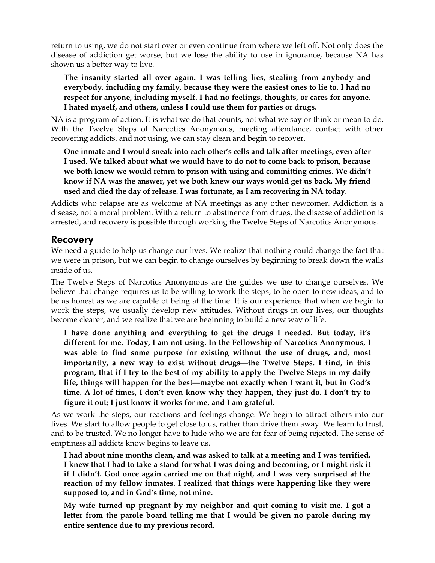return to using, we do not start over or even continue from where we left off. Not only does the disease of addiction get worse, but we lose the ability to use in ignorance, because NA has shown us a better way to live.

**The insanity started all over again. I was telling lies, stealing from anybody and everybody, including my family, because they were the easiest ones to lie to. I had no respect for anyone, including myself. I had no feelings, thoughts, or cares for anyone. I hated myself, and others, unless I could use them for parties or drugs.** 

NA is a program of action. It is what we do that counts, not what we say or think or mean to do. With the Twelve Steps of Narcotics Anonymous, meeting attendance, contact with other recovering addicts, and not using, we can stay clean and begin to recover.

**One inmate and I would sneak into each other's cells and talk after meetings, even after I used. We talked about what we would have to do not to come back to prison, because we both knew we would return to prison with using and committing crimes. We didn't know if NA was the answer, yet we both knew our ways would get us back. My friend used and died the day of release. I was fortunate, as I am recovering in NA today.** 

Addicts who relapse are as welcome at NA meetings as any other newcomer. Addiction is a disease, not a moral problem. With a return to abstinence from drugs, the disease of addiction is arrested, and recovery is possible through working the Twelve Steps of Narcotics Anonymous.

## Recovery

We need a guide to help us change our lives. We realize that nothing could change the fact that we were in prison, but we can begin to change ourselves by beginning to break down the walls inside of us.

The Twelve Steps of Narcotics Anonymous are the guides we use to change ourselves. We believe that change requires us to be willing to work the steps, to be open to new ideas, and to be as honest as we are capable of being at the time. It is our experience that when we begin to work the steps, we usually develop new attitudes. Without drugs in our lives, our thoughts become clearer, and we realize that we are beginning to build a new way of life.

**I have done anything and everything to get the drugs I needed. But today, it's different for me. Today, I am not using. In the Fellowship of Narcotics Anonymous, I was able to find some purpose for existing without the use of drugs, and, most importantly, a new way to exist without drugs—the Twelve Steps. I find, in this program, that if I try to the best of my ability to apply the Twelve Steps in my daily life, things will happen for the best—maybe not exactly when I want it, but in God's time. A lot of times, I don't even know why they happen, they just do. I don't try to figure it out; I just know it works for me, and I am grateful.** 

As we work the steps, our reactions and feelings change. We begin to attract others into our lives. We start to allow people to get close to us, rather than drive them away. We learn to trust, and to be trusted. We no longer have to hide who we are for fear of being rejected. The sense of emptiness all addicts know begins to leave us.

**I had about nine months clean, and was asked to talk at a meeting and I was terrified. I knew that I had to take a stand for what I was doing and becoming, or I might risk it if I didn't. God once again carried me on that night, and I was very surprised at the reaction of my fellow inmates. I realized that things were happening like they were supposed to, and in God's time, not mine.** 

**My wife turned up pregnant by my neighbor and quit coming to visit me. I got a letter from the parole board telling me that I would be given no parole during my entire sentence due to my previous record.**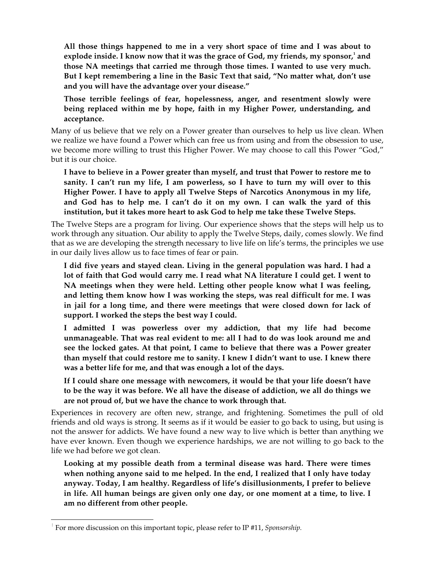**All those things happened to me in a very short space of time and I was about to explode inside. I know now that it was the grace of God, my friends, my sponsor,<sup>1</sup> and those NA meetings that carried me through those times. I wanted to use very much. But I kept remembering a line in the Basic Text that said, "No matter what, don't use and you will have the advantage over your disease."**

**Those terrible feelings of fear, hopelessness, anger, and resentment slowly were being replaced within me by hope, faith in my Higher Power, understanding, and acceptance.** 

Many of us believe that we rely on a Power greater than ourselves to help us live clean. When we realize we have found a Power which can free us from using and from the obsession to use, we become more willing to trust this Higher Power. We may choose to call this Power "God," but it is our choice.

**I have to believe in a Power greater than myself, and trust that Power to restore me to sanity. I can't run my life, I am powerless, so I have to turn my will over to this Higher Power. I have to apply all Twelve Steps of Narcotics Anonymous in my life, and God has to help me. I can't do it on my own. I can walk the yard of this institution, but it takes more heart to ask God to help me take these Twelve Steps.** 

The Twelve Steps are a program for living. Our experience shows that the steps will help us to work through any situation. Our ability to apply the Twelve Steps, daily, comes slowly. We find that as we are developing the strength necessary to live life on life's terms, the principles we use in our daily lives allow us to face times of fear or pain.

**I did five years and stayed clean. Living in the general population was hard. I had a lot of faith that God would carry me. I read what NA literature I could get. I went to NA meetings when they were held. Letting other people know what I was feeling, and letting them know how I was working the steps, was real difficult for me. I was in jail for a long time, and there were meetings that were closed down for lack of support. I worked the steps the best way I could.** 

**I admitted I was powerless over my addiction, that my life had become unmanageable. That was real evident to me: all I had to do was look around me and see the locked gates. At that point, I came to believe that there was a Power greater than myself that could restore me to sanity. I knew I didn't want to use. I knew there was a better life for me, and that was enough a lot of the days.** 

**If I could share one message with newcomers, it would be that your life doesn't have to be the way it was before. We all have the disease of addiction, we all do things we are not proud of, but we have the chance to work through that.** 

Experiences in recovery are often new, strange, and frightening. Sometimes the pull of old friends and old ways is strong. It seems as if it would be easier to go back to using, but using is not the answer for addicts. We have found a new way to live which is better than anything we have ever known. Even though we experience hardships, we are not willing to go back to the life we had before we got clean.

**Looking at my possible death from a terminal disease was hard. There were times when nothing anyone said to me helped. In the end, I realized that I only have today anyway. Today, I am healthy. Regardless of life's disillusionments, I prefer to believe in life. All human beings are given only one day, or one moment at a time, to live. I am no different from other people.** 

 $\overline{a}$ 

<sup>1</sup> For more discussion on this important topic, please refer to IP #11, *Sponsorship.*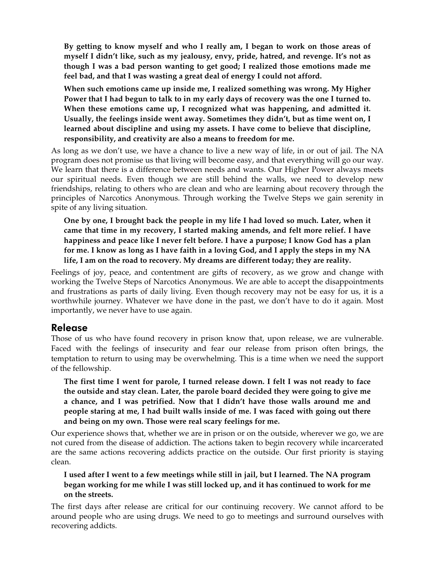**By getting to know myself and who I really am, I began to work on those areas of myself I didn't like, such as my jealousy, envy, pride, hatred, and revenge. It's not as though I was a bad person wanting to get good; I realized those emotions made me feel bad, and that I was wasting a great deal of energy I could not afford.** 

**When such emotions came up inside me, I realized something was wrong. My Higher Power that I had begun to talk to in my early days of recovery was the one I turned to. When these emotions came up, I recognized what was happening, and admitted it. Usually, the feelings inside went away. Sometimes they didn't, but as time went on, I learned about discipline and using my assets. I have come to believe that discipline, responsibility, and creativity are also a means to freedom for me.** 

As long as we don't use, we have a chance to live a new way of life, in or out of jail. The NA program does not promise us that living will become easy, and that everything will go our way. We learn that there is a difference between needs and wants. Our Higher Power always meets our spiritual needs. Even though we are still behind the walls, we need to develop new friendships, relating to others who are clean and who are learning about recovery through the principles of Narcotics Anonymous. Through working the Twelve Steps we gain serenity in spite of any living situation.

**One by one, I brought back the people in my life I had loved so much. Later, when it came that time in my recovery, I started making amends, and felt more relief. I have happiness and peace like I never felt before. I have a purpose; I know God has a plan for me. I know as long as I have faith in a loving God, and I apply the steps in my NA life, I am on the road to recovery. My dreams are different today; they are reality.** 

Feelings of joy, peace, and contentment are gifts of recovery, as we grow and change with working the Twelve Steps of Narcotics Anonymous. We are able to accept the disappointments and frustrations as parts of daily living. Even though recovery may not be easy for us, it is a worthwhile journey. Whatever we have done in the past, we don't have to do it again. Most importantly, we never have to use again.

#### Release

Those of us who have found recovery in prison know that, upon release, we are vulnerable. Faced with the feelings of insecurity and fear our release from prison often brings, the temptation to return to using may be overwhelming. This is a time when we need the support of the fellowship.

**The first time I went for parole, I turned release down. I felt I was not ready to face the outside and stay clean. Later, the parole board decided they were going to give me a chance, and I was petrified. Now that I didn't have those walls around me and people staring at me, I had built walls inside of me. I was faced with going out there and being on my own. Those were real scary feelings for me.** 

Our experience shows that, whether we are in prison or on the outside, wherever we go, we are not cured from the disease of addiction. The actions taken to begin recovery while incarcerated are the same actions recovering addicts practice on the outside. Our first priority is staying clean.

**I used after I went to a few meetings while still in jail, but I learned. The NA program began working for me while I was still locked up, and it has continued to work for me on the streets.** 

The first days after release are critical for our continuing recovery. We cannot afford to be around people who are using drugs. We need to go to meetings and surround ourselves with recovering addicts.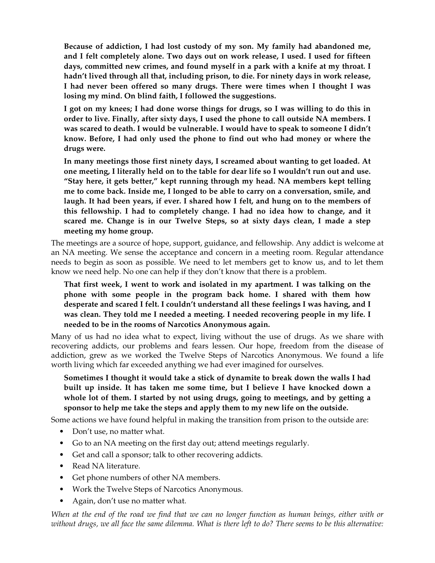**Because of addiction, I had lost custody of my son. My family had abandoned me, and I felt completely alone. Two days out on work release, I used. I used for fifteen days, committed new crimes, and found myself in a park with a knife at my throat. I hadn't lived through all that, including prison, to die. For ninety days in work release, I had never been offered so many drugs. There were times when I thought I was losing my mind. On blind faith, I followed the suggestions.** 

**I got on my knees; I had done worse things for drugs, so I was willing to do this in order to live. Finally, after sixty days, I used the phone to call outside NA members. I was scared to death. I would be vulnerable. I would have to speak to someone I didn't know. Before, I had only used the phone to find out who had money or where the drugs were.** 

**In many meetings those first ninety days, I screamed about wanting to get loaded. At one meeting, I literally held on to the table for dear life so I wouldn't run out and use. "Stay here, it gets better," kept running through my head. NA members kept telling me to come back. Inside me, I longed to be able to carry on a conversation, smile, and laugh. It had been years, if ever. I shared how I felt, and hung on to the members of this fellowship. I had to completely change. I had no idea how to change, and it scared me. Change is in our Twelve Steps, so at sixty days clean, I made a step meeting my home group.** 

The meetings are a source of hope, support, guidance, and fellowship. Any addict is welcome at an NA meeting. We sense the acceptance and concern in a meeting room. Regular attendance needs to begin as soon as possible. We need to let members get to know us, and to let them know we need help. No one can help if they don't know that there is a problem.

**That first week, I went to work and isolated in my apartment. I was talking on the phone with some people in the program back home. I shared with them how desperate and scared I felt. I couldn't understand all these feelings I was having, and I was clean. They told me I needed a meeting. I needed recovering people in my life. I needed to be in the rooms of Narcotics Anonymous again.** 

Many of us had no idea what to expect, living without the use of drugs. As we share with recovering addicts, our problems and fears lessen. Our hope, freedom from the disease of addiction, grew as we worked the Twelve Steps of Narcotics Anonymous. We found a life worth living which far exceeded anything we had ever imagined for ourselves.

**Sometimes I thought it would take a stick of dynamite to break down the walls I had built up inside. It has taken me some time, but I believe I have knocked down a whole lot of them. I started by not using drugs, going to meetings, and by getting a sponsor to help me take the steps and apply them to my new life on the outside.** 

Some actions we have found helpful in making the transition from prison to the outside are:

- Don't use, no matter what.
- Go to an NA meeting on the first day out; attend meetings regularly.
- Get and call a sponsor; talk to other recovering addicts.
- Read NA literature.
- Get phone numbers of other NA members.
- Work the Twelve Steps of Narcotics Anonymous.
- Again, don't use no matter what.

*When at the end of the road we find that we can no longer function as human beings, either with or without drugs, we all face the same dilemma. What is there left to do? There seems to be this alternative:*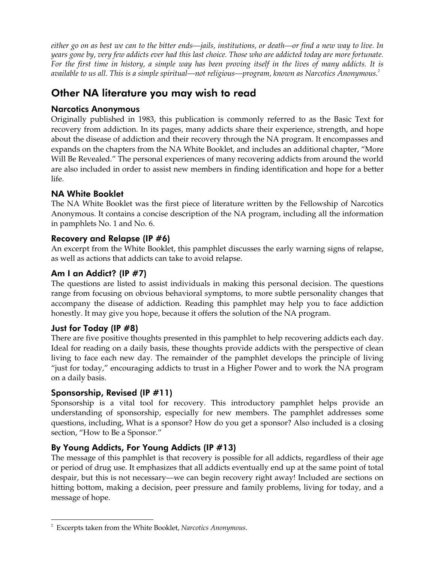*either go on as best we can to the bitter ends—jails, institutions, or death—or find a new way to live. In years gone by, very few addicts ever had this last choice. Those who are addicted today are more fortunate. For the first time in history, a simple way has been proving itself in the lives of many addicts. It is available to us all. This is a simple spiritual—not religious—program, known as Narcotics Anonymous.<sup>2</sup>*

# Other NA literature you may wish to read

#### Narcotics Anonymous

Originally published in 1983, this publication is commonly referred to as the Basic Text for recovery from addiction. In its pages, many addicts share their experience, strength, and hope about the disease of addiction and their recovery through the NA program. It encompasses and expands on the chapters from the NA White Booklet, and includes an additional chapter, "More Will Be Revealed." The personal experiences of many recovering addicts from around the world are also included in order to assist new members in finding identification and hope for a better life.

## NA White Booklet

The NA White Booklet was the first piece of literature written by the Fellowship of Narcotics Anonymous. It contains a concise description of the NA program, including all the information in pamphlets No. 1 and No. 6.

## Recovery and Relapse (IP #6)

An excerpt from the White Booklet, this pamphlet discusses the early warning signs of relapse, as well as actions that addicts can take to avoid relapse.

## Am I an Addict? (IP #7)

The questions are listed to assist individuals in making this personal decision. The questions range from focusing on obvious behavioral symptoms, to more subtle personality changes that accompany the disease of addiction. Reading this pamphlet may help you to face addiction honestly. It may give you hope, because it offers the solution of the NA program.

## Just for Today (IP #8)

There are five positive thoughts presented in this pamphlet to help recovering addicts each day. Ideal for reading on a daily basis, these thoughts provide addicts with the perspective of clean living to face each new day. The remainder of the pamphlet develops the principle of living "just for today," encouraging addicts to trust in a Higher Power and to work the NA program on a daily basis.

## Sponsorship, Revised (IP #11)

Sponsorship is a vital tool for recovery. This introductory pamphlet helps provide an understanding of sponsorship, especially for new members. The pamphlet addresses some questions, including, What is a sponsor? How do you get a sponsor? Also included is a closing section, "How to Be a Sponsor."

## By Young Addicts, For Young Addicts (IP #13)

The message of this pamphlet is that recovery is possible for all addicts, regardless of their age or period of drug use. It emphasizes that all addicts eventually end up at the same point of total despair, but this is not necessary—we can begin recovery right away! Included are sections on hitting bottom, making a decision, peer pressure and family problems, living for today, and a message of hope.

 $\overline{a}$ 2 Excerpts taken from the White Booklet, *Narcotics Anonymous*.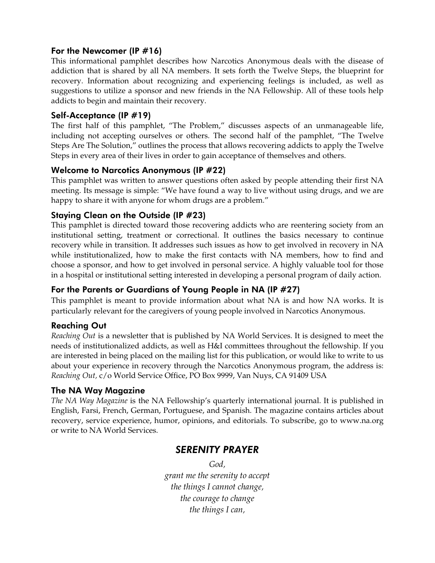#### For the Newcomer (IP #16)

This informational pamphlet describes how Narcotics Anonymous deals with the disease of addiction that is shared by all NA members. It sets forth the Twelve Steps, the blueprint for recovery. Information about recognizing and experiencing feelings is included, as well as suggestions to utilize a sponsor and new friends in the NA Fellowship. All of these tools help addicts to begin and maintain their recovery.

#### Self-Acceptance (IP #19)

The first half of this pamphlet, "The Problem," discusses aspects of an unmanageable life, including not accepting ourselves or others. The second half of the pamphlet, "The Twelve Steps Are The Solution," outlines the process that allows recovering addicts to apply the Twelve Steps in every area of their lives in order to gain acceptance of themselves and others.

#### Welcome to Narcotics Anonymous (IP #22)

This pamphlet was written to answer questions often asked by people attending their first NA meeting. Its message is simple: "We have found a way to live without using drugs, and we are happy to share it with anyone for whom drugs are a problem."

#### Staying Clean on the Outside (IP #23)

This pamphlet is directed toward those recovering addicts who are reentering society from an institutional setting, treatment or correctional. It outlines the basics necessary to continue recovery while in transition. It addresses such issues as how to get involved in recovery in NA while institutionalized, how to make the first contacts with NA members, how to find and choose a sponsor, and how to get involved in personal service. A highly valuable tool for those in a hospital or institutional setting interested in developing a personal program of daily action.

#### For the Parents or Guardians of Young People in NA (IP #27)

This pamphlet is meant to provide information about what NA is and how NA works. It is particularly relevant for the caregivers of young people involved in Narcotics Anonymous.

#### Reaching Out

*Reaching Out* is a newsletter that is published by NA World Services. It is designed to meet the needs of institutionalized addicts, as well as H&I committees throughout the fellowship. If you are interested in being placed on the mailing list for this publication, or would like to write to us about your experience in recovery through the Narcotics Anonymous program, the address is: *Reaching Out,* c/o World Service Office, PO Box 9999, Van Nuys, CA 91409 USA

#### The NA Way Magazine

*The NA Way Magazine* is the NA Fellowship's quarterly international journal. It is published in English, Farsi, French, German, Portuguese, and Spanish. The magazine contains articles about recovery, service experience, humor, opinions, and editorials. To subscribe, go to www.na.org or write to NA World Services.

## *SERENITY PRAYER*

*God,* 

*grant me the serenity to accept the things I cannot change, the courage to change the things I can,*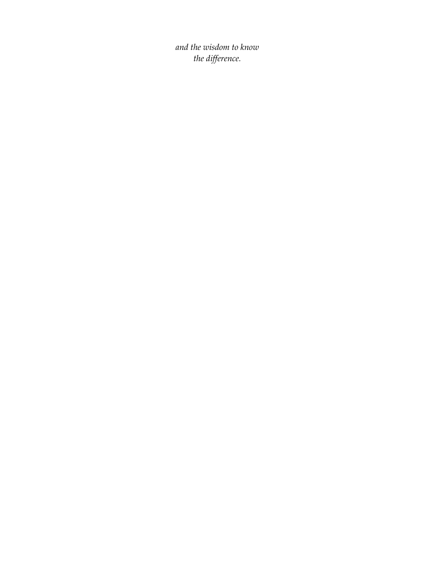*and the wisdom to know the difference.*